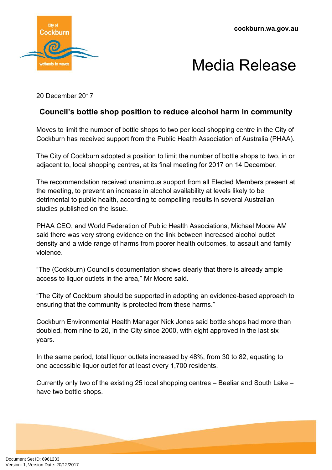**cockburn.wa.gov.au**



## Media Release

20 December 2017

## **Council's bottle shop position to reduce alcohol harm in community**

Moves to limit the number of bottle shops to two per local shopping centre in the City of Cockburn has received support from the Public Health Association of Australia (PHAA).

The City of Cockburn adopted a position to limit the number of bottle shops to two, in or adjacent to, local shopping centres, at its final meeting for 2017 on 14 December.

The recommendation received unanimous support from all Elected Members present at the meeting, to prevent an increase in alcohol availability at levels likely to be detrimental to public health, according to compelling results in several Australian studies published on the issue.

PHAA CEO, and World Federation of Public Health Associations, Michael Moore AM said there was very strong evidence on the link between increased alcohol outlet density and a wide range of harms from poorer health outcomes, to assault and family violence.

"The (Cockburn) Council's documentation shows clearly that there is already ample access to liquor outlets in the area," Mr Moore said.

"The City of Cockburn should be supported in adopting an evidence-based approach to ensuring that the community is protected from these harms."

Cockburn Environmental Health Manager Nick Jones said bottle shops had more than doubled, from nine to 20, in the City since 2000, with eight approved in the last six years.

In the same period, total liquor outlets increased by 48%, from 30 to 82, equating to one accessible liquor outlet for at least every 1,700 residents.

Currently only two of the existing 25 local shopping centres – Beeliar and South Lake – have two bottle shops.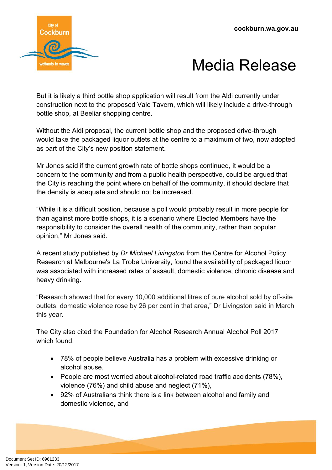

## Media Release

But it is likely a third bottle shop application will result from the Aldi currently under construction next to the proposed Vale Tavern, which will likely include a drive-through bottle shop, at Beeliar shopping centre.

Without the Aldi proposal, the current bottle shop and the proposed drive-through would take the packaged liquor outlets at the centre to a maximum of two, now adopted as part of the City's new position statement.

Mr Jones said if the current growth rate of bottle shops continued, it would be a concern to the community and from a public health perspective, could be argued that the City is reaching the point where on behalf of the community, it should declare that the density is adequate and should not be increased.

"While it is a difficult position, because a poll would probably result in more people for than against more bottle shops, it is a scenario where Elected Members have the responsibility to consider the overall health of the community, rather than popular opinion," Mr Jones said.

A recent study published by *Dr Michael Livingston* from the Centre for Alcohol Policy Research at Melbourne's La Trobe University, found the availability of packaged liquor was associated with increased rates of assault, domestic violence, chronic disease and heavy drinking.

"Research showed that for every 10,000 additional litres of pure alcohol sold by off-site outlets, domestic violence rose by 26 per cent in that area," Dr Livingston said in March this year.

The City also cited the Foundation for Alcohol Research Annual Alcohol Poll 2017 which found:

- 78% of people believe Australia has a problem with excessive drinking or alcohol abuse,
- People are most worried about alcohol-related road traffic accidents (78%), violence (76%) and child abuse and neglect (71%),
- 92% of Australians think there is a link between alcohol and family and domestic violence, and